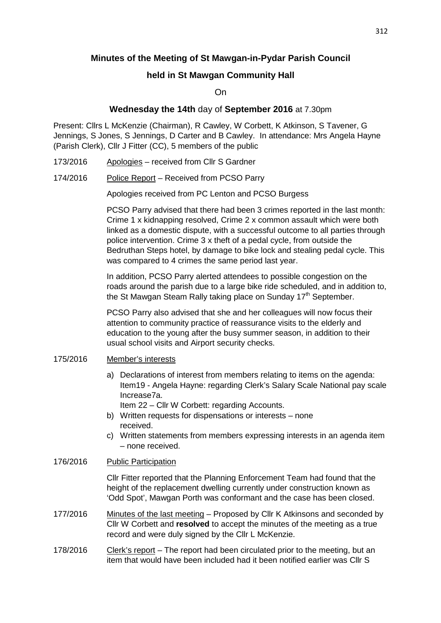# **Minutes of the Meeting of St Mawgan-in-Pydar Parish Council**

## **held in St Mawgan Community Hall**

On

## **Wednesday the 14th** day of **September 2016** at 7.30pm

Present: Cllrs L McKenzie (Chairman), R Cawley, W Corbett, K Atkinson, S Tavener, G Jennings, S Jones, S Jennings, D Carter and B Cawley. In attendance: Mrs Angela Hayne (Parish Clerk), Cllr J Fitter (CC), 5 members of the public

- 173/2016 Apologies received from Cllr S Gardner
- 174/2016 Police Report Received from PCSO Parry

Apologies received from PC Lenton and PCSO Burgess

PCSO Parry advised that there had been 3 crimes reported in the last month: Crime 1 x kidnapping resolved, Crime 2 x common assault which were both linked as a domestic dispute, with a successful outcome to all parties through police intervention. Crime 3 x theft of a pedal cycle, from outside the Bedruthan Steps hotel, by damage to bike lock and stealing pedal cycle. This was compared to 4 crimes the same period last year.

 In addition, PCSO Parry alerted attendees to possible congestion on the roads around the parish due to a large bike ride scheduled, and in addition to, the St Mawgan Steam Rally taking place on Sunday 17<sup>th</sup> September.

 PCSO Parry also advised that she and her colleagues will now focus their attention to community practice of reassurance visits to the elderly and education to the young after the busy summer season, in addition to their usual school visits and Airport security checks.

### 175/2016 Member's interests

a) Declarations of interest from members relating to items on the agenda: Item19 - Angela Hayne: regarding Clerk's Salary Scale National pay scale Increase7a.

Item 22 – Cllr W Corbett: regarding Accounts.

- b) Written requests for dispensations or interests none received.
- c) Written statements from members expressing interests in an agenda item – none received.

### 176/2016 Public Participation

Cllr Fitter reported that the Planning Enforcement Team had found that the height of the replacement dwelling currently under construction known as 'Odd Spot', Mawgan Porth was conformant and the case has been closed.

- 177/2016 Minutes of the last meeting Proposed by Cllr K Atkinsons and seconded by Cllr W Corbett and **resolved** to accept the minutes of the meeting as a true record and were duly signed by the Cllr L McKenzie.
- 178/2016 Clerk's report The report had been circulated prior to the meeting, but an item that would have been included had it been notified earlier was Cllr S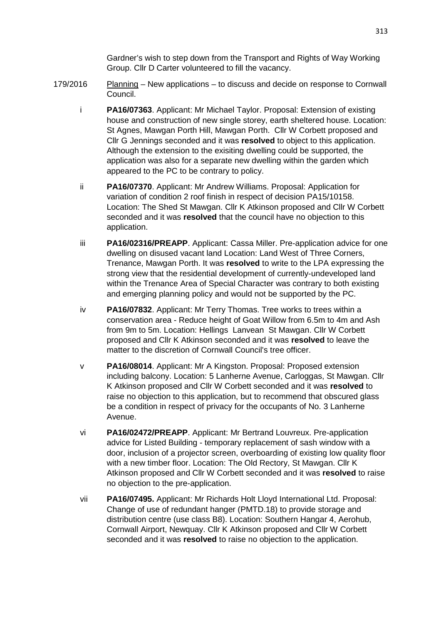Gardner's wish to step down from the Transport and Rights of Way Working Group. Cllr D Carter volunteered to fill the vacancy.

- 179/2016 Planning New applications to discuss and decide on response to Cornwall Council.
	- i **PA16/07363**. Applicant: Mr Michael Taylor. Proposal: Extension of existing house and construction of new single storey, earth sheltered house. Location: St Agnes, Mawgan Porth Hill, Mawgan Porth. Cllr W Corbett proposed and Cllr G Jennings seconded and it was **resolved** to object to this application. Although the extension to the exisiting dwelling could be supported, the application was also for a separate new dwelling within the garden which appeared to the PC to be contrary to policy.
	- ii **PA16/07370**. Applicant: Mr Andrew Williams. Proposal: Application for variation of condition 2 roof finish in respect of decision PA15/10158. Location: The Shed St Mawgan. Cllr K Atkinson proposed and Cllr W Corbett seconded and it was **resolved** that the council have no objection to this application.
	- iii **PA16/02316/PREAPP**. Applicant: Cassa Miller. Pre-application advice for one dwelling on disused vacant land Location: Land West of Three Corners, Trenance, Mawgan Porth. It was **resolved** to write to the LPA expressing the strong view that the residential development of currently-undeveloped land within the Trenance Area of Special Character was contrary to both existing and emerging planning policy and would not be supported by the PC.
	- iv **PA16/07832**. Applicant: Mr Terry Thomas. Tree works to trees within a conservation area - Reduce height of Goat Willow from 6.5m to 4m and Ash from 9m to 5m. Location: Hellings Lanvean St Mawgan. Cllr W Corbett proposed and Cllr K Atkinson seconded and it was **resolved** to leave the matter to the discretion of Cornwall Council's tree officer.
	- v **PA16/08014**. Applicant: Mr A Kingston. Proposal: Proposed extension including balcony. Location: 5 Lanherne Avenue, Carloggas, St Mawgan. Cllr K Atkinson proposed and Cllr W Corbett seconded and it was **resolved** to raise no objection to this application, but to recommend that obscured glass be a condition in respect of privacy for the occupants of No. 3 Lanherne Avenue.
	- vi **PA16/02472/PREAPP**. Applicant: Mr Bertrand Louvreux. Pre-application advice for Listed Building - temporary replacement of sash window with a door, inclusion of a projector screen, overboarding of existing low quality floor with a new timber floor. Location: The Old Rectory, St Mawgan. Cllr K Atkinson proposed and Cllr W Corbett seconded and it was **resolved** to raise no objection to the pre-application.
	- vii **PA16/07495.** Applicant: Mr Richards Holt Lloyd International Ltd. Proposal: Change of use of redundant hanger (PMTD.18) to provide storage and distribution centre (use class B8). Location: Southern Hangar 4, Aerohub, Cornwall Airport, Newquay. Cllr K Atkinson proposed and Cllr W Corbett seconded and it was **resolved** to raise no objection to the application.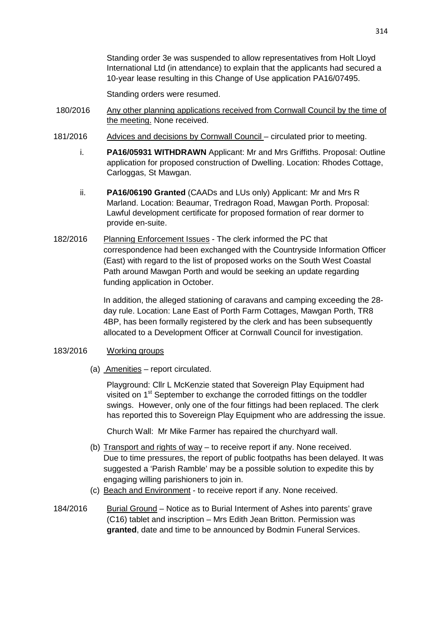Standing order 3e was suspended to allow representatives from Holt Lloyd International Ltd (in attendance) to explain that the applicants had secured a 10-year lease resulting in this Change of Use application PA16/07495.

Standing orders were resumed.

- 180/2016 Any other planning applications received from Cornwall Council by the time of the meeting. None received.
- 181/2016 Advices and decisions by Cornwall Council circulated prior to meeting.
	- i. **PA16/05931 WITHDRAWN** Applicant: Mr and Mrs Griffiths. Proposal: Outline application for proposed construction of Dwelling. Location: Rhodes Cottage, Carloggas, St Mawgan.
	- ii. **PA16/06190 Granted** (CAADs and LUs only) Applicant: Mr and Mrs R Marland. Location: Beaumar, Tredragon Road, Mawgan Porth. Proposal: Lawful development certificate for proposed formation of rear dormer to provide en-suite.
- 182/2016 Planning Enforcement Issues The clerk informed the PC that correspondence had been exchanged with the Countryside Information Officer (East) with regard to the list of proposed works on the South West Coastal Path around Mawgan Porth and would be seeking an update regarding funding application in October.

In addition, the alleged stationing of caravans and camping exceeding the 28 day rule. Location: Lane East of Porth Farm Cottages, Mawgan Porth, TR8 4BP, has been formally registered by the clerk and has been subsequently allocated to a Development Officer at Cornwall Council for investigation.

### 183/2016 Working groups

(a) Amenities – report circulated.

Playground: Cllr L McKenzie stated that Sovereign Play Equipment had visited on 1<sup>st</sup> September to exchange the corroded fittings on the toddler swings. However, only one of the four fittings had been replaced. The clerk has reported this to Sovereign Play Equipment who are addressing the issue.

Church Wall: Mr Mike Farmer has repaired the churchyard wall.

- (b) Transport and rights of way  $-$  to receive report if any. None received. Due to time pressures, the report of public footpaths has been delayed. It was suggested a 'Parish Ramble' may be a possible solution to expedite this by engaging willing parishioners to join in.
- (c) Beach and Environment to receive report if any. None received.
- 184/2016 Burial Ground Notice as to Burial Interment of Ashes into parents' grave (C16) tablet and inscription – Mrs Edith Jean Britton. Permission was **granted**, date and time to be announced by Bodmin Funeral Services.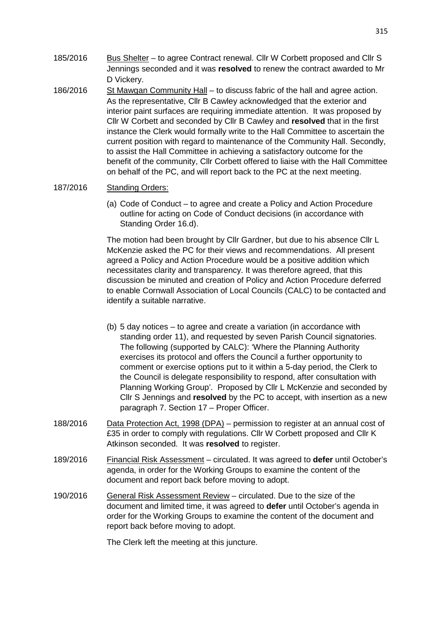- 185/2016 Bus Shelter to agree Contract renewal. Cllr W Corbett proposed and Cllr S Jennings seconded and it was **resolved** to renew the contract awarded to Mr D Vickery.
- 186/2016 St Mawgan Community Hall to discuss fabric of the hall and agree action. As the representative, Cllr B Cawley acknowledged that the exterior and interior paint surfaces are requiring immediate attention. It was proposed by Cllr W Corbett and seconded by Cllr B Cawley and **resolved** that in the first instance the Clerk would formally write to the Hall Committee to ascertain the current position with regard to maintenance of the Community Hall. Secondly, to assist the Hall Committee in achieving a satisfactory outcome for the benefit of the community, Cllr Corbett offered to liaise with the Hall Committee on behalf of the PC, and will report back to the PC at the next meeting.

### 187/2016 Standing Orders:

(a) Code of Conduct – to agree and create a Policy and Action Procedure outline for acting on Code of Conduct decisions (in accordance with Standing Order 16.d).

The motion had been brought by Cllr Gardner, but due to his absence Cllr L McKenzie asked the PC for their views and recommendations. All present agreed a Policy and Action Procedure would be a positive addition which necessitates clarity and transparency. It was therefore agreed, that this discussion be minuted and creation of Policy and Action Procedure deferred to enable Cornwall Association of Local Councils (CALC) to be contacted and identify a suitable narrative.

- (b) 5 day notices to agree and create a variation (in accordance with standing order 11), and requested by seven Parish Council signatories. The following (supported by CALC): 'Where the Planning Authority exercises its protocol and offers the Council a further opportunity to comment or exercise options put to it within a 5-day period, the Clerk to the Council is delegate responsibility to respond, after consultation with Planning Working Group'. Proposed by Cllr L McKenzie and seconded by Cllr S Jennings and **resolved** by the PC to accept, with insertion as a new paragraph 7. Section 17 – Proper Officer.
- 188/2016 Data Protection Act, 1998 (DPA) permission to register at an annual cost of £35 in order to comply with regulations. Cllr W Corbett proposed and Cllr K Atkinson seconded. It was **resolved** to register.
- 189/2016 Financial Risk Assessment circulated. It was agreed to **defer** until October's agenda, in order for the Working Groups to examine the content of the document and report back before moving to adopt.
- 190/2016 General Risk Assessment Review circulated. Due to the size of the document and limited time, it was agreed to **defer** until October's agenda in order for the Working Groups to examine the content of the document and report back before moving to adopt.

The Clerk left the meeting at this juncture.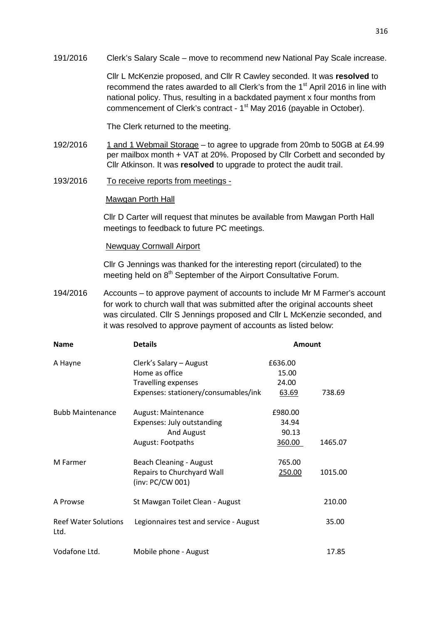191/2016 Clerk's Salary Scale – move to recommend new National Pay Scale increase.

Cllr L McKenzie proposed, and Cllr R Cawley seconded. It was **resolved** to recommend the rates awarded to all Clerk's from the 1<sup>st</sup> April 2016 in line with national policy. Thus, resulting in a backdated payment x four months from commencement of Clerk's contract - 1<sup>st</sup> May 2016 (payable in October).

The Clerk returned to the meeting.

- 192/2016 1 and 1 Webmail Storage to agree to upgrade from 20mb to 50GB at £4.99 per mailbox month + VAT at 20%. Proposed by Cllr Corbett and seconded by Cllr Atkinson. It was **resolved** to upgrade to protect the audit trail.
- 193/2016 To receive reports from meetings -

#### Mawgan Porth Hall

Cllr D Carter will request that minutes be available from Mawgan Porth Hall meetings to feedback to future PC meetings.

#### Newquay Cornwall Airport

Cllr G Jennings was thanked for the interesting report (circulated) to the meeting held on 8<sup>th</sup> September of the Airport Consultative Forum.

194/2016 Accounts – to approve payment of accounts to include Mr M Farmer's account for work to church wall that was submitted after the original accounts sheet was circulated. Cllr S Jennings proposed and Cllr L McKenzie seconded, and it was resolved to approve payment of accounts as listed below:

| <b>Name</b>                  | <b>Details</b><br>Clerk's Salary - August      | <b>Amount</b> |         |
|------------------------------|------------------------------------------------|---------------|---------|
| A Hayne                      |                                                | £636.00       |         |
|                              | Home as office                                 | 15.00         |         |
|                              | <b>Travelling expenses</b>                     | 24.00         |         |
|                              | Expenses: stationery/consumables/ink           | 63.69         | 738.69  |
| <b>Bubb Maintenance</b>      | August: Maintenance                            | £980.00       |         |
|                              | Expenses: July outstanding                     | 34.94         |         |
|                              | And August                                     | 90.13         |         |
|                              | August: Footpaths                              | 360.00        | 1465.07 |
| M Farmer                     | <b>Beach Cleaning - August</b>                 | 765.00        |         |
|                              | Repairs to Churchyard Wall<br>(inv: PC/CW 001) | 250.00        | 1015.00 |
| A Prowse                     | St Mawgan Toilet Clean - August                |               | 210.00  |
| Reef Water Solutions<br>Ltd. | Legionnaires test and service - August         |               | 35.00   |
| Vodafone Ltd.                | Mobile phone - August                          |               | 17.85   |